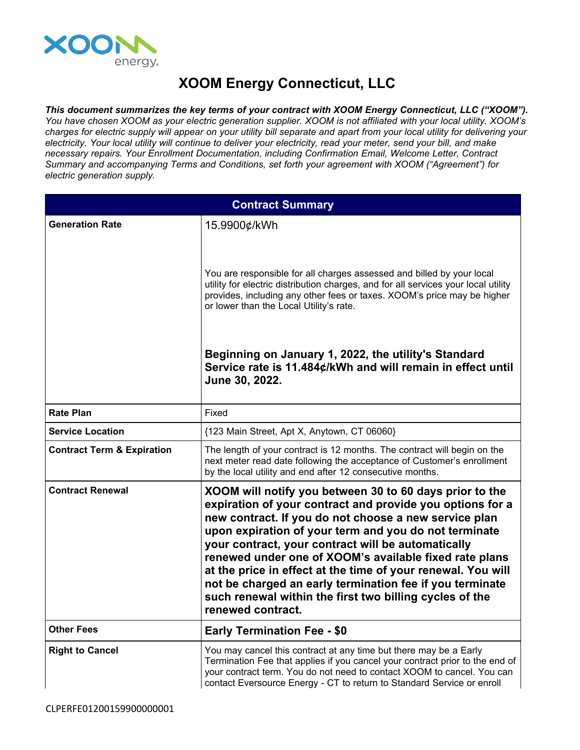

## **XOOM Energy Connecticut, LLC**

*This document summarizes the key terms of your contract with XOOM Energy Connecticut, LLC ("XOOM").* You have chosen XOOM as your electric generation supplier. XOOM is not affiliated with your local utility. XOOM's charges for electric supply will appear on your utility bill separate and apart from your local utility for delivering your electricity. Your local utility will continue to deliver your electricity, read your meter, send your bill, and make *necessary repairs. Your Enrollment Documentation, including Confirmation Email, Welcome Letter, Contract Summary and accompanying Terms and Conditions, set forth your agreement with XOOM ("Agreement") for electric generation supply.*

| <b>Contract Summary</b>               |                                                                                                                                                                                                                                                                                                                                                                                                                                                                                                                                                                    |
|---------------------------------------|--------------------------------------------------------------------------------------------------------------------------------------------------------------------------------------------------------------------------------------------------------------------------------------------------------------------------------------------------------------------------------------------------------------------------------------------------------------------------------------------------------------------------------------------------------------------|
| <b>Generation Rate</b>                | 15.9900¢/kWh                                                                                                                                                                                                                                                                                                                                                                                                                                                                                                                                                       |
|                                       | You are responsible for all charges assessed and billed by your local<br>utility for electric distribution charges, and for all services your local utility<br>provides, including any other fees or taxes. XOOM's price may be higher<br>or lower than the Local Utility's rate.                                                                                                                                                                                                                                                                                  |
|                                       | Beginning on January 1, 2022, the utility's Standard<br>Service rate is 11.484¢/kWh and will remain in effect until<br>June 30, 2022.                                                                                                                                                                                                                                                                                                                                                                                                                              |
| <b>Rate Plan</b>                      | Fixed                                                                                                                                                                                                                                                                                                                                                                                                                                                                                                                                                              |
| <b>Service Location</b>               | {123 Main Street, Apt X, Anytown, CT 06060}                                                                                                                                                                                                                                                                                                                                                                                                                                                                                                                        |
| <b>Contract Term &amp; Expiration</b> | The length of your contract is 12 months. The contract will begin on the<br>next meter read date following the acceptance of Customer's enrollment<br>by the local utility and end after 12 consecutive months.                                                                                                                                                                                                                                                                                                                                                    |
| <b>Contract Renewal</b>               | XOOM will notify you between 30 to 60 days prior to the<br>expiration of your contract and provide you options for a<br>new contract. If you do not choose a new service plan<br>upon expiration of your term and you do not terminate<br>your contract, your contract will be automatically<br>renewed under one of XOOM's available fixed rate plans<br>at the price in effect at the time of your renewal. You will<br>not be charged an early termination fee if you terminate<br>such renewal within the first two billing cycles of the<br>renewed contract. |
| <b>Other Fees</b>                     | <b>Early Termination Fee - \$0</b>                                                                                                                                                                                                                                                                                                                                                                                                                                                                                                                                 |
| <b>Right to Cancel</b>                | You may cancel this contract at any time but there may be a Early<br>Termination Fee that applies if you cancel your contract prior to the end of<br>your contract term. You do not need to contact XOOM to cancel. You can<br>contact Eversource Energy - CT to return to Standard Service or enroll                                                                                                                                                                                                                                                              |